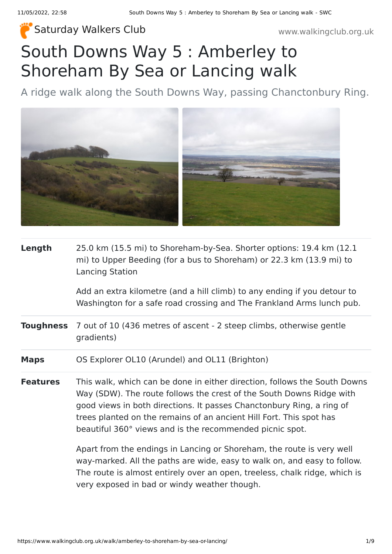### [Saturday Walkers Club](https://www.walkingclub.org.uk/) **Saturday Walkers Club** www.walkingclub.org.uk

# South Downs Way 5 : Amberley to Shoreham By Sea or Lancing walk

A ridge walk along the South Downs Way, passing Chanctonbury Ring.



**Length** 25.0 km (15.5 mi) to Shoreham-by-Sea. Shorter options: 19.4 km (12.1 mi) to Upper Beeding (for a bus to Shoreham) or 22.3 km (13.9 mi) to Lancing Station

> Add an extra kilometre (and a hill climb) to any ending if you detour to Washington for a safe road crossing and The Frankland Arms lunch pub.

- **Toughness** 7 out of 10 (436 metres of ascent 2 steep climbs, otherwise gentle gradients)
- **Maps** OS Explorer OL10 (Arundel) and OL11 (Brighton)
- **Features** This walk, which can be done in either direction, follows the South Downs Way (SDW). The route follows the crest of the South Downs Ridge with good views in both directions. It passes Chanctonbury Ring, a ring of trees planted on the remains of an ancient Hill Fort. This spot has beautiful 360° views and is the recommended picnic spot.

Apart from the endings in Lancing or Shoreham, the route is very well way-marked. All the paths are wide, easy to walk on, and easy to follow. The route is almost entirely over an open, treeless, chalk ridge, which is very exposed in bad or windy weather though.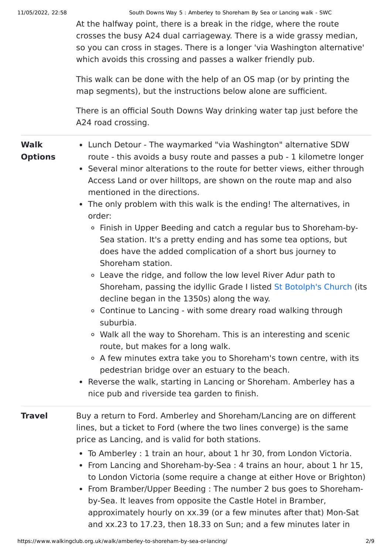At the halfway point, there is a break in the ridge, where the route crosses the busy A24 dual carriageway. There is a wide grassy median, so you can cross in stages. There is a longer 'via Washington alternative' which avoids this crossing and passes a walker friendly pub.

This walk can be done with the help of an OS map (or by printing the map segments), but the instructions below alone are sufficient.

There is an official South Downs Way drinking water tap just before the A24 road crossing.

| <b>Walk</b><br><b>Options</b> | • Lunch Detour - The waymarked "via Washington" alternative SDW<br>route - this avoids a busy route and passes a pub - 1 kilometre longer<br>• Several minor alterations to the route for better views, either through<br>Access Land or over hilltops, are shown on the route map and also<br>mentioned in the directions.<br>• The only problem with this walk is the ending! The alternatives, in<br>order:<br>Finish in Upper Beeding and catch a regular bus to Shoreham-by-<br>$\circ$<br>Sea station. It's a pretty ending and has some tea options, but<br>does have the added complication of a short bus journey to<br>Shoreham station.<br>• Leave the ridge, and follow the low level River Adur path to<br>Shoreham, passing the idyllic Grade I listed St Botolph's Church (its<br>decline began in the 1350s) along the way.<br>o Continue to Lancing - with some dreary road walking through<br>suburbia.<br>• Walk all the way to Shoreham. This is an interesting and scenic<br>route, but makes for a long walk.<br>○ A few minutes extra take you to Shoreham's town centre, with its<br>pedestrian bridge over an estuary to the beach.<br>• Reverse the walk, starting in Lancing or Shoreham. Amberley has a<br>nice pub and riverside tea garden to finish. |  |  |  |
|-------------------------------|-------------------------------------------------------------------------------------------------------------------------------------------------------------------------------------------------------------------------------------------------------------------------------------------------------------------------------------------------------------------------------------------------------------------------------------------------------------------------------------------------------------------------------------------------------------------------------------------------------------------------------------------------------------------------------------------------------------------------------------------------------------------------------------------------------------------------------------------------------------------------------------------------------------------------------------------------------------------------------------------------------------------------------------------------------------------------------------------------------------------------------------------------------------------------------------------------------------------------------------------------------------------------------------|--|--|--|
| <b>Travel</b>                 | Buy a return to Ford. Amberley and Shoreham/Lancing are on different<br>lines, but a ticket to Ford (where the two lines converge) is the same<br>price as Lancing, and is valid for both stations.<br>• To Amberley : 1 train an hour, about 1 hr 30, from London Victoria.<br>• From Lancing and Shoreham-by-Sea : 4 trains an hour, about 1 hr 15,<br>to London Victoria (some require a change at either Hove or Brighton)<br>• From Bramber/Upper Beeding: The number 2 bus goes to Shoreham-<br>by-Sea. It leaves from opposite the Castle Hotel in Bramber,<br>approximately hourly on xx.39 (or a few minutes after that) Mon-Sat                                                                                                                                                                                                                                                                                                                                                                                                                                                                                                                                                                                                                                           |  |  |  |

and xx.23 to 17.23, then 18.33 on Sun; and a few minutes later in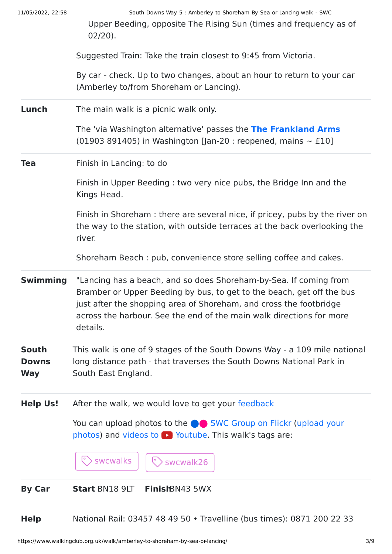|  | 11/05/2022, 22:58 |  |
|--|-------------------|--|
|  |                   |  |

South Downs Way 5 : Amberley to Shoreham By Sea or Lancing walk - SWC

Upper Beeding, opposite The Rising Sun (times and frequency as of 02/20).

Suggested Train: Take the train closest to 9:45 from Victoria.

By car - check. Up to two changes, about an hour to return to your car (Amberley to/from Shoreham or Lancing).

**Lunch** The main walk is a picnic walk only.

The 'via Washington alternative' passes the **[The Frankland Arms](https://thefranklandarms.com/)** (01903 891405) in Washington [Jan-20 : reopened, mains  $\sim$  £10]

#### **Tea** Finish in Lancing: to do

Finish in Upper Beeding : two very nice pubs, the Bridge Inn and the Kings Head.

Finish in Shoreham : there are several nice, if pricey, pubs by the river on the way to the station, with outside terraces at the back overlooking the river.

Shoreham Beach : pub, convenience store selling coffee and cakes.

**Swimming** "Lancing has a beach, and so does Shoreham-by-Sea. If coming from Bramber or Upper Beeding by bus, to get to the beach, get off the bus just after the shopping area of Shoreham, and cross the footbridge across the harbour. See the end of the main walk directions for more details.

#### **South Downs Way** This walk is one of 9 stages of the South Downs Way - a 109 mile national long distance path - that traverses the South Downs National Park in South East England.

**Help Us!** After the walk, we would love to get your [feedback](https://www.walkingclub.org.uk/walk/amberley-to-shoreham-by-sea-or-lancing/comments.html)

You can upload photos to the **integrat C** [SWC Group on Flickr](http://www.flickr.com/groups/swc) (upload your photos) and videos to  $\triangleright$  Youtube. This walk's tags are:



#### **By Car Start** BN18 9LT **Finish**BN43 5WX

**Help** National Rail: 03457 48 49 50 • Travelline (bus times): 0871 200 22 33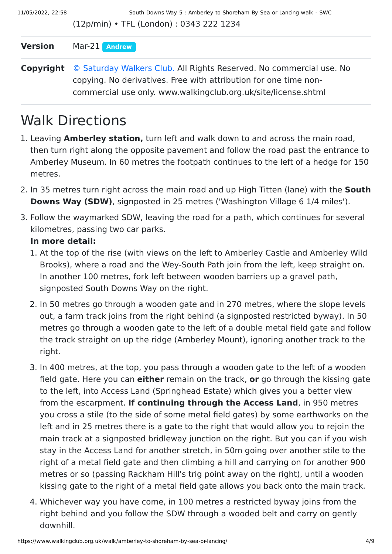(12p/min) • TFL (London) : 0343 222 1234

#### **Version** Mar-21 **[Andrew](https://www.walkingclub.org.uk/walks/andrew.html)**

**Copyright** [© Saturday Walkers Club.](https://www.walkingclub.org.uk/site/license.shtml) All Rights Reserved. No commercial use. No copying. No derivatives. Free with attribution for one time noncommercial use only. www.walkingclub.org.uk/site/license.shtml

## Walk Directions

- 1. Leaving **Amberley station,** turn left and walk down to and across the main road, then turn right along the opposite pavement and follow the road past the entrance to Amberley Museum. In 60 metres the footpath continues to the left of a hedge for 150 metres.
- 2. In 35 metres turn right across the main road and up High Titten (lane) with the **South Downs Way (SDW)**, signposted in 25 metres ('Washington Village 6 1/4 miles').
- 3. Follow the waymarked SDW, leaving the road for a path, which continues for several kilometres, passing two car parks.

#### **In more detail:**

- 1. At the top of the rise (with views on the left to Amberley Castle and Amberley Wild Brooks), where a road and the Wey-South Path join from the left, keep straight on. In another 100 metres, fork left between wooden barriers up a gravel path, signposted South Downs Way on the right.
- 2. In 50 metres go through a wooden gate and in 270 metres, where the slope levels out, a farm track joins from the right behind (a signposted restricted byway). In 50 metres go through a wooden gate to the left of a double metal field gate and follow the track straight on up the ridge (Amberley Mount), ignoring another track to the right.
- 3. In 400 metres, at the top, you pass through a wooden gate to the left of a wooden field gate. Here you can **either** remain on the track, **or** go through the kissing gate to the left, into Access Land (Springhead Estate) which gives you a better view from the escarpment. **If continuing through the Access Land**, in 950 metres you cross a stile (to the side of some metal field gates) by some earthworks on the left and in 25 metres there is a gate to the right that would allow you to rejoin the main track at a signposted bridleway junction on the right. But you can if you wish stay in the Access Land for another stretch, in 50m going over another stile to the right of a metal field gate and then climbing a hill and carrying on for another 900 metres or so (passing Rackham Hill's trig point away on the right), until a wooden kissing gate to the right of a metal field gate allows you back onto the main track.
- 4. Whichever way you have come, in 100 metres a restricted byway joins from the right behind and you follow the SDW through a wooded belt and carry on gently downhill.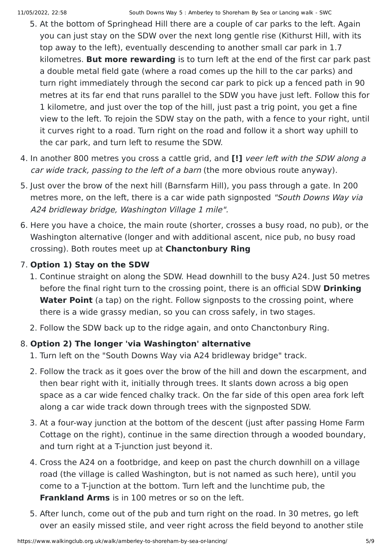- 5. At the bottom of Springhead Hill there are a couple of car parks to the left. Again you can just stay on the SDW over the next long gentle rise (Kithurst Hill, with its top away to the left), eventually descending to another small car park in 1.7 kilometres. **But more rewarding** is to turn left at the end of the first car park past a double metal field gate (where a road comes up the hill to the car parks) and turn right immediately through the second car park to pick up a fenced path in 90 metres at its far end that runs parallel to the SDW you have just left. Follow this for 1 kilometre, and just over the top of the hill, just past a trig point, you get a fine view to the left. To rejoin the SDW stay on the path, with a fence to your right, until it curves right to a road. Turn right on the road and follow it a short way uphill to the car park, and turn left to resume the SDW.
- 4. In another 800 metres you cross a cattle grid, and **[!]** veer left with the SDW along a car wide track, passing to the left of a barn (the more obvious route anyway).
- 5. Just over the brow of the next hill (Barnsfarm Hill), you pass through a gate. In 200 metres more, on the left, there is a car wide path signposted "South Downs Way via A24 bridleway bridge, Washington Village 1 mile".
- 6. Here you have a choice, the main route (shorter, crosses a busy road, no pub), or the Washington alternative (longer and with additional ascent, nice pub, no busy road crossing). Both routes meet up at **Chanctonbury Ring**

### 7. **Option 1) Stay on the SDW**

- 1. Continue straight on along the SDW. Head downhill to the busy A24. Just 50 metres before the final right turn to the crossing point, there is an official SDW **Drinking Water Point** (a tap) on the right. Follow signposts to the crossing point, where there is a wide grassy median, so you can cross safely, in two stages.
- 2. Follow the SDW back up to the ridge again, and onto Chanctonbury Ring.

### 8. **Option 2) The longer 'via Washington' alternative**

- 1. Turn left on the "South Downs Way via A24 bridleway bridge" track.
- 2. Follow the track as it goes over the brow of the hill and down the escarpment, and then bear right with it, initially through trees. It slants down across a big open space as a car wide fenced chalky track. On the far side of this open area fork left along a car wide track down through trees with the signposted SDW.
- 3. At a four-way junction at the bottom of the descent (just after passing Home Farm Cottage on the right), continue in the same direction through a wooded boundary, and turn right at a T-junction just beyond it.
- 4. Cross the A24 on a footbridge, and keep on past the church downhill on a village road (the village is called Washington, but is not named as such here), until you come to a T-junction at the bottom. Turn left and the lunchtime pub, the **Frankland Arms** is in 100 metres or so on the left.
- 5. After lunch, come out of the pub and turn right on the road. In 30 metres, go left over an easily missed stile, and veer right across the field beyond to another stile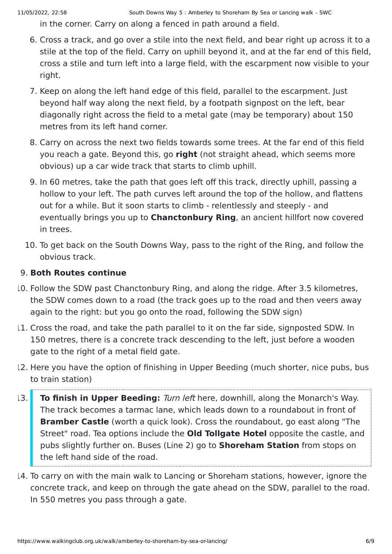in the corner. Carry on along a fenced in path around a field.

- 6. Cross a track, and go over a stile into the next field, and bear right up across it to a stile at the top of the field. Carry on uphill beyond it, and at the far end of this field, cross a stile and turn left into a large field, with the escarpment now visible to your right.
- 7. Keep on along the left hand edge of this field, parallel to the escarpment. Just beyond half way along the next field, by a footpath signpost on the left, bear diagonally right across the field to a metal gate (may be temporary) about 150 metres from its left hand corner.
- 8. Carry on across the next two fields towards some trees. At the far end of this field you reach a gate. Beyond this, go **right** (not straight ahead, which seems more obvious) up a car wide track that starts to climb uphill.
- 9. In 60 metres, take the path that goes left off this track, directly uphill, passing a hollow to your left. The path curves left around the top of the hollow, and flattens out for a while. But it soon starts to climb - relentlessly and steeply - and eventually brings you up to **Chanctonbury Ring**, an ancient hillfort now covered in trees.
- 10. To get back on the South Downs Way, pass to the right of the Ring, and follow the obvious track.

#### 9. **Both Routes continue**

- 10. Follow the SDW past Chanctonbury Ring, and along the ridge. After 3.5 kilometres, the SDW comes down to a road (the track goes up to the road and then veers away again to the right: but you go onto the road, following the SDW sign)
- 11. Cross the road, and take the path parallel to it on the far side, signposted SDW. In 150 metres, there is a concrete track descending to the left, just before a wooden gate to the right of a metal field gate.
- 12. Here you have the option of finishing in Upper Beeding (much shorter, nice pubs, bus to train station)
- 13. **To finish in Upper Beeding:** Turn left here, downhill, along the Monarch's Way. The track becomes a tarmac lane, which leads down to a roundabout in front of **Bramber Castle** (worth a quick look). Cross the roundabout, go east along "The Street" road. Tea options include the **Old Tollgate Hotel** opposite the castle, and pubs slightly further on. Buses (Line 2) go to **Shoreham Station** from stops on the left hand side of the road.
- 14. To carry on with the main walk to Lancing or Shoreham stations, however, ignore the concrete track, and keep on through the gate ahead on the SDW, parallel to the road. In 550 metres you pass through a gate.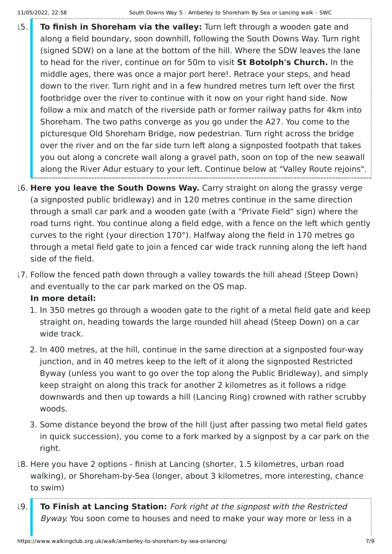- 15. **To finish in Shoreham via the valley:** Turn left through a wooden gate and along a field boundary, soon downhill, following the South Downs Way. Turn right (signed SDW) on a lane at the bottom of the hill. Where the SDW leaves the lane to head for the river, continue on for 50m to visit **St Botolph's Church.** In the middle ages, there was once a major port here!. Retrace your steps, and head down to the river. Turn right and in a few hundred metres turn left over the first footbridge over the river to continue with it now on your right hand side. Now follow a mix and match of the riverside path or former railway paths for 4km into Shoreham. The two paths converge as you go under the A27. You come to the picturesque Old Shoreham Bridge, now pedestrian. Turn right across the bridge over the river and on the far side turn left along a signposted footpath that takes you out along a concrete wall along a gravel path, soon on top of the new seawall along the River Adur estuary to your left. Continue below at "Valley Route rejoins".
- 16. **Here you leave the South Downs Way.** Carry straight on along the grassy verge (a signposted public bridleway) and in 120 metres continue in the same direction through a small car park and a wooden gate (with a "Private Field" sign) where the road turns right. You continue along a field edge, with a fence on the left which gently curves to the right (your direction 170°). Halfway along the field in 170 metres go through a metal field gate to join a fenced car wide track running along the left hand side of the field.
- 17. Follow the fenced path down through a valley towards the hill ahead (Steep Down) and eventually to the car park marked on the OS map.

#### **In more detail:**

- 1. In 350 metres go through a wooden gate to the right of a metal field gate and keep straight on, heading towards the large rounded hill ahead (Steep Down) on a car wide track.
- 2. In 400 metres, at the hill, continue in the same direction at a signposted four-way junction, and in 40 metres keep to the left of it along the signposted Restricted Byway (unless you want to go over the top along the Public Bridleway), and simply keep straight on along this track for another 2 kilometres as it follows a ridge downwards and then up towards a hill (Lancing Ring) crowned with rather scrubby woods.
- 3. Some distance beyond the brow of the hill (just after passing two metal field gates in quick succession), you come to a fork marked by a signpost by a car park on the right.
- 18. Here you have 2 options finish at Lancing (shorter, 1.5 kilometres, urban road walking), or Shoreham-by-Sea (longer, about 3 kilometres, more interesting, chance to swim)
- 19. **To Finish at Lancing Station:** Fork right at the signpost with the Restricted Byway. You soon come to houses and need to make your way more or less in a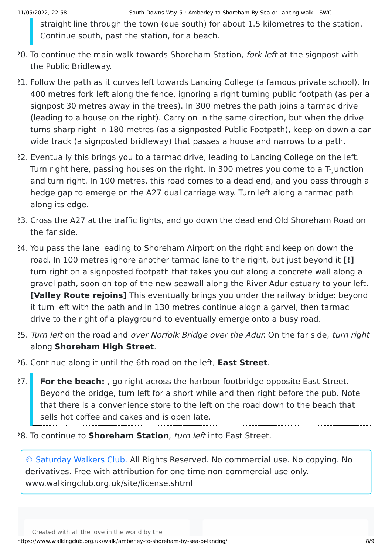straight line through the town (due south) for about 1.5 kilometres to the station. Continue south, past the station, for a beach.

- 20. To continue the main walk towards Shoreham Station, *fork left* at the signpost with the Public Bridleway.
- 21. Follow the path as it curves left towards Lancing College (a famous private school). In 400 metres fork left along the fence, ignoring a right turning public footpath (as per a signpost 30 metres away in the trees). In 300 metres the path joins a tarmac drive (leading to a house on the right). Carry on in the same direction, but when the drive turns sharp right in 180 metres (as a signposted Public Footpath), keep on down a car wide track (a signposted bridleway) that passes a house and narrows to a path.
- 22. Eventually this brings you to a tarmac drive, leading to Lancing College on the left. Turn right here, passing houses on the right. In 300 metres you come to a T-junction and turn right. In 100 metres, this road comes to a dead end, and you pass through a hedge gap to emerge on the A27 dual carriage way. Turn left along a tarmac path along its edge.
- 23. Cross the A27 at the traffic lights, and go down the dead end Old Shoreham Road on the far side.
- 24. You pass the lane leading to Shoreham Airport on the right and keep on down the road. In 100 metres ignore another tarmac lane to the right, but just beyond it **[!]** turn right on a signposted footpath that takes you out along a concrete wall along a gravel path, soon on top of the new seawall along the River Adur estuary to your left. **[Valley Route rejoins]** This eventually brings you under the railway bridge: beyond it turn left with the path and in 130 metres continue alogn a garvel, then tarmac drive to the right of a playground to eventually emerge onto a busy road.
- 25. Turn left on the road and over Norfolk Bridge over the Adur. On the far side, turn right along **Shoreham High Street**.
- 26. Continue along it until the 6th road on the left, **East Street**.
- 27. **For the beach:** , go right across the harbour footbridge opposite East Street. Beyond the bridge, turn left for a short while and then right before the pub. Note that there is a convenience store to the left on the road down to the beach that sells hot coffee and cakes and is open late.
- 28. To continue to **Shoreham Station**, turn left into East Street.

[© Saturday Walkers Club.](https://www.walkingclub.org.uk/site/license.shtml) All Rights Reserved. No commercial use. No copying. No derivatives. Free with attribution for one time non-commercial use only. www.walkingclub.org.uk/site/license.shtml